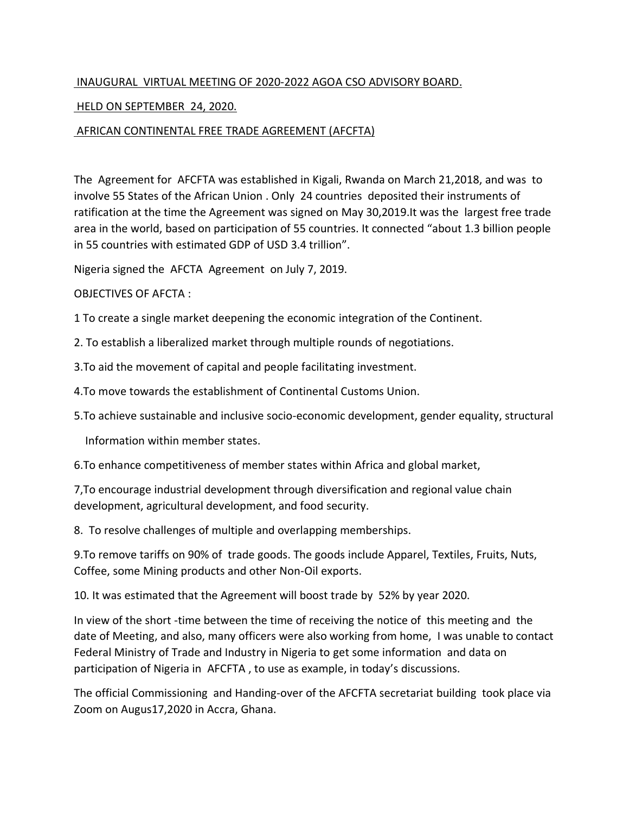## INAUGURAL VIRTUAL MEETING OF 2020-2022 AGOA CSO ADVISORY BOARD.

## HELD ON SEPTEMBER 24, 2020.

## AFRICAN CONTINENTAL FREE TRADE AGREEMENT (AFCFTA)

The Agreement for AFCFTA was established in Kigali, Rwanda on March 21,2018, and was to involve 55 States of the African Union . Only 24 countries deposited their instruments of ratification at the time the Agreement was signed on May 30,2019.It was the largest free trade area in the world, based on participation of 55 countries. It connected "about 1.3 billion people in 55 countries with estimated GDP of USD 3.4 trillion".

Nigeria signed the AFCTA Agreement on July 7, 2019.

## OBJECTIVES OF AFCTA :

1 To create a single market deepening the economic integration of the Continent.

2. To establish a liberalized market through multiple rounds of negotiations.

3.To aid the movement of capital and people facilitating investment.

4.To move towards the establishment of Continental Customs Union.

5.To achieve sustainable and inclusive socio-economic development, gender equality, structural

Information within member states.

6.To enhance competitiveness of member states within Africa and global market,

7,To encourage industrial development through diversification and regional value chain development, agricultural development, and food security.

8. To resolve challenges of multiple and overlapping memberships.

9.To remove tariffs on 90% of trade goods. The goods include Apparel, Textiles, Fruits, Nuts, Coffee, some Mining products and other Non-Oil exports.

10. It was estimated that the Agreement will boost trade by 52% by year 2020.

In view of the short -time between the time of receiving the notice of this meeting and the date of Meeting, and also, many officers were also working from home, I was unable to contact Federal Ministry of Trade and Industry in Nigeria to get some information and data on participation of Nigeria in AFCFTA , to use as example, in today's discussions.

The official Commissioning and Handing-over of the AFCFTA secretariat building took place via Zoom on Augus17,2020 in Accra, Ghana.